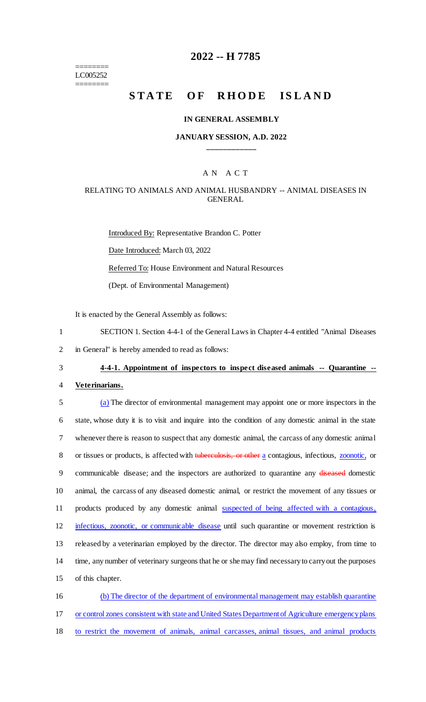======== LC005252 ========

# **2022 -- H 7785**

# **STATE OF RHODE ISLAND**

#### **IN GENERAL ASSEMBLY**

#### **JANUARY SESSION, A.D. 2022 \_\_\_\_\_\_\_\_\_\_\_\_**

#### A N A C T

### RELATING TO ANIMALS AND ANIMAL HUSBANDRY -- ANIMAL DISEASES IN GENERAL

Introduced By: Representative Brandon C. Potter Date Introduced: March 03, 2022 Referred To: House Environment and Natural Resources (Dept. of Environmental Management)

It is enacted by the General Assembly as follows:

- 1 SECTION 1. Section 4-4-1 of the General Laws in Chapter 4-4 entitled "Animal Diseases 2 in General" is hereby amended to read as follows:
- 

#### 3 **4-4-1. Appointment of inspectors to inspect diseased animals -- Quarantine --**

4 **Veterinarians.**

 (a) The director of environmental management may appoint one or more inspectors in the state, whose duty it is to visit and inquire into the condition of any domestic animal in the state whenever there is reason to suspect that any domestic animal, the carcass of any domestic animal 8 or tissues or products, is affected with tuberculosis, or other a contagious, infectious, **zoonotic**, or 9 communicable disease; and the inspectors are authorized to quarantine any diseased domestic animal, the carcass of any diseased domestic animal, or restrict the movement of any tissues or 11 products produced by any domestic animal suspected of being affected with a contagious, 12 infectious, zoonotic, or communicable disease until such quarantine or movement restriction is released by a veterinarian employed by the director. The director may also employ, from time to time, any number of veterinary surgeons that he or she may find necessary to carry out the purposes of this chapter.

16 (b) The director of the department of environmental management may establish quarantine 17 or control zones consistent with state and United States Department of Agriculture emergency plans 18 to restrict the movement of animals, animal carcasses, animal tissues, and animal products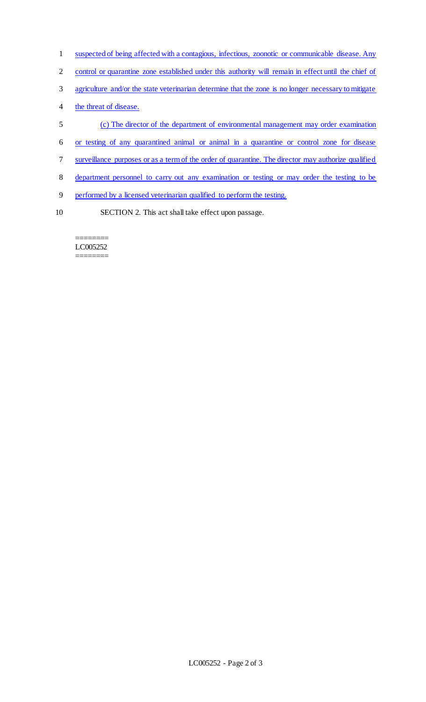- 1 suspected of being affected with a contagious, infectious, zoonotic or communicable disease. Any
- 2 control or quarantine zone established under this authority will remain in effect until the chief of
- 3 agriculture and/or the state veterinarian determine that the zone is no longer necessary to mitigate
- 4 the threat of disease.
- 5 (c) The director of the department of environmental management may order examination
- 6 or testing of any quarantined animal or animal in a quarantine or control zone for disease
- 7 surveillance purposes or as a term of the order of quarantine. The director may authorize qualified
- 8 department personnel to carry out any examination or testing or may order the testing to be
- 9 performed by a licensed veterinarian qualified to perform the testing.
- 10 SECTION 2. This act shall take effect upon passage.

======== LC005252 ========